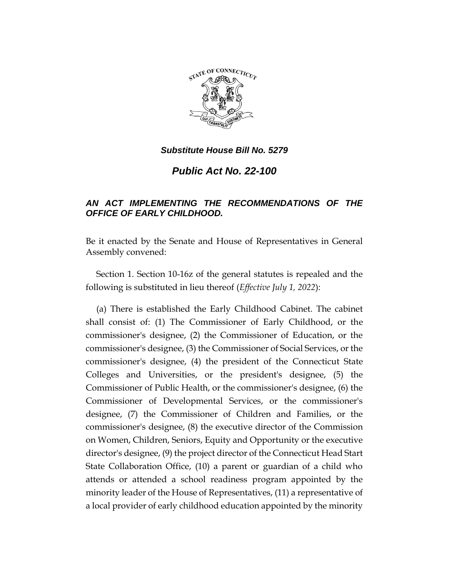

*Public Act No. 22-100*

# *AN ACT IMPLEMENTING THE RECOMMENDATIONS OF THE OFFICE OF EARLY CHILDHOOD.*

Be it enacted by the Senate and House of Representatives in General Assembly convened:

Section 1. Section 10-16z of the general statutes is repealed and the following is substituted in lieu thereof (*Effective July 1, 2022*):

(a) There is established the Early Childhood Cabinet. The cabinet shall consist of: (1) The Commissioner of Early Childhood, or the commissioner's designee, (2) the Commissioner of Education, or the commissioner's designee, (3) the Commissioner of Social Services, or the commissioner's designee, (4) the president of the Connecticut State Colleges and Universities, or the president's designee, (5) the Commissioner of Public Health, or the commissioner's designee, (6) the Commissioner of Developmental Services, or the commissioner's designee, (7) the Commissioner of Children and Families, or the commissioner's designee, (8) the executive director of the Commission on Women, Children, Seniors, Equity and Opportunity or the executive director's designee, (9) the project director of the Connecticut Head Start State Collaboration Office, (10) a parent or guardian of a child who attends or attended a school readiness program appointed by the minority leader of the House of Representatives, (11) a representative of a local provider of early childhood education appointed by the minority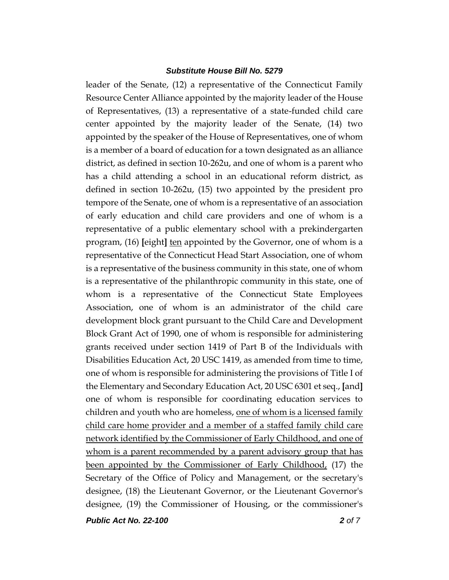leader of the Senate, (12) a representative of the Connecticut Family Resource Center Alliance appointed by the majority leader of the House of Representatives, (13) a representative of a state-funded child care center appointed by the majority leader of the Senate, (14) two appointed by the speaker of the House of Representatives, one of whom is a member of a board of education for a town designated as an alliance district, as defined in section 10-262u, and one of whom is a parent who has a child attending a school in an educational reform district, as defined in section 10-262u, (15) two appointed by the president pro tempore of the Senate, one of whom is a representative of an association of early education and child care providers and one of whom is a representative of a public elementary school with a prekindergarten program, (16) **[**eight**]** ten appointed by the Governor, one of whom is a representative of the Connecticut Head Start Association, one of whom is a representative of the business community in this state, one of whom is a representative of the philanthropic community in this state, one of whom is a representative of the Connecticut State Employees Association, one of whom is an administrator of the child care development block grant pursuant to the Child Care and Development Block Grant Act of 1990, one of whom is responsible for administering grants received under section 1419 of Part B of the Individuals with Disabilities Education Act, 20 USC 1419, as amended from time to time, one of whom is responsible for administering the provisions of Title I of the Elementary and Secondary Education Act, 20 USC 6301 et seq., **[**and**]** one of whom is responsible for coordinating education services to children and youth who are homeless, one of whom is a licensed family child care home provider and a member of a staffed family child care network identified by the Commissioner of Early Childhood, and one of whom is a parent recommended by a parent advisory group that has been appointed by the Commissioner of Early Childhood, (17) the Secretary of the Office of Policy and Management, or the secretary's designee, (18) the Lieutenant Governor, or the Lieutenant Governor's designee, (19) the Commissioner of Housing, or the commissioner's

*Public Act No. 22-100 2 of 7*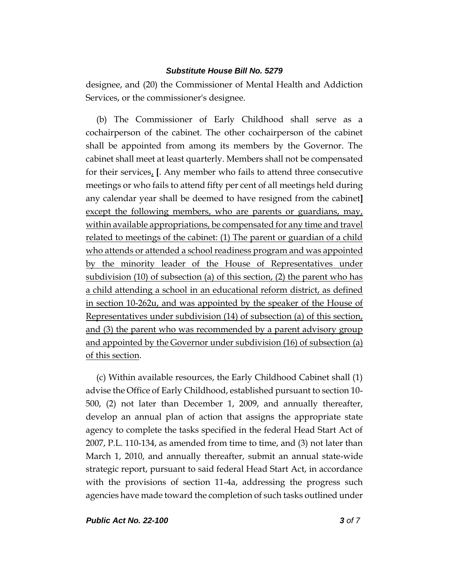designee, and (20) the Commissioner of Mental Health and Addiction Services, or the commissioner's designee.

(b) The Commissioner of Early Childhood shall serve as a cochairperson of the cabinet. The other cochairperson of the cabinet shall be appointed from among its members by the Governor. The cabinet shall meet at least quarterly. Members shall not be compensated for their services, **[**. Any member who fails to attend three consecutive meetings or who fails to attend fifty per cent of all meetings held during any calendar year shall be deemed to have resigned from the cabinet**]**  except the following members, who are parents or guardians, may, within available appropriations, be compensated for any time and travel related to meetings of the cabinet: (1) The parent or guardian of a child who attends or attended a school readiness program and was appointed by the minority leader of the House of Representatives under subdivision (10) of subsection (a) of this section, (2) the parent who has a child attending a school in an educational reform district, as defined in section 10-262u, and was appointed by the speaker of the House of Representatives under subdivision (14) of subsection (a) of this section, and (3) the parent who was recommended by a parent advisory group and appointed by the Governor under subdivision (16) of subsection (a) of this section.

(c) Within available resources, the Early Childhood Cabinet shall (1) advise the Office of Early Childhood, established pursuant to section 10- 500, (2) not later than December 1, 2009, and annually thereafter, develop an annual plan of action that assigns the appropriate state agency to complete the tasks specified in the federal Head Start Act of 2007, P.L. 110-134, as amended from time to time, and (3) not later than March 1, 2010, and annually thereafter, submit an annual state-wide strategic report, pursuant to said federal Head Start Act, in accordance with the provisions of section 11-4a, addressing the progress such agencies have made toward the completion of such tasks outlined under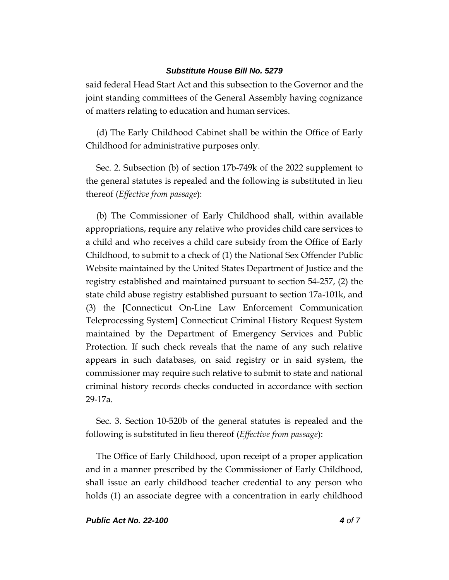said federal Head Start Act and this subsection to the Governor and the joint standing committees of the General Assembly having cognizance of matters relating to education and human services.

(d) The Early Childhood Cabinet shall be within the Office of Early Childhood for administrative purposes only.

Sec. 2. Subsection (b) of section 17b-749k of the 2022 supplement to the general statutes is repealed and the following is substituted in lieu thereof (*Effective from passage*):

(b) The Commissioner of Early Childhood shall, within available appropriations, require any relative who provides child care services to a child and who receives a child care subsidy from the Office of Early Childhood, to submit to a check of (1) the National Sex Offender Public Website maintained by the United States Department of Justice and the registry established and maintained pursuant to section 54-257, (2) the state child abuse registry established pursuant to section 17a-101k, and (3) the **[**Connecticut On-Line Law Enforcement Communication Teleprocessing System**]** Connecticut Criminal History Request System maintained by the Department of Emergency Services and Public Protection. If such check reveals that the name of any such relative appears in such databases, on said registry or in said system, the commissioner may require such relative to submit to state and national criminal history records checks conducted in accordance with section 29-17a.

Sec. 3. Section 10-520b of the general statutes is repealed and the following is substituted in lieu thereof (*Effective from passage*):

The Office of Early Childhood, upon receipt of a proper application and in a manner prescribed by the Commissioner of Early Childhood, shall issue an early childhood teacher credential to any person who holds (1) an associate degree with a concentration in early childhood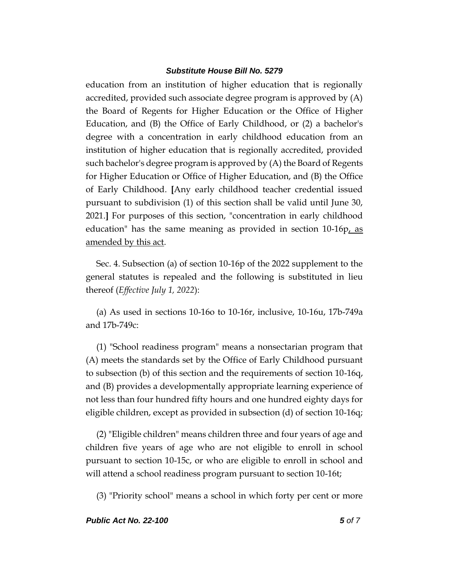education from an institution of higher education that is regionally accredited, provided such associate degree program is approved by (A) the Board of Regents for Higher Education or the Office of Higher Education, and (B) the Office of Early Childhood, or (2) a bachelor's degree with a concentration in early childhood education from an institution of higher education that is regionally accredited, provided such bachelor's degree program is approved by (A) the Board of Regents for Higher Education or Office of Higher Education, and (B) the Office of Early Childhood. **[**Any early childhood teacher credential issued pursuant to subdivision (1) of this section shall be valid until June 30, 2021.**]** For purposes of this section, "concentration in early childhood education" has the same meaning as provided in section 10-16p, as amended by this act.

Sec. 4. Subsection (a) of section 10-16p of the 2022 supplement to the general statutes is repealed and the following is substituted in lieu thereof (*Effective July 1, 2022*):

(a) As used in sections 10-16o to 10-16r, inclusive, 10-16u, 17b-749a and 17b-749c:

(1) "School readiness program" means a nonsectarian program that (A) meets the standards set by the Office of Early Childhood pursuant to subsection (b) of this section and the requirements of section 10-16q, and (B) provides a developmentally appropriate learning experience of not less than four hundred fifty hours and one hundred eighty days for eligible children, except as provided in subsection (d) of section 10-16q;

(2) "Eligible children" means children three and four years of age and children five years of age who are not eligible to enroll in school pursuant to section 10-15c, or who are eligible to enroll in school and will attend a school readiness program pursuant to section 10-16t;

(3) "Priority school" means a school in which forty per cent or more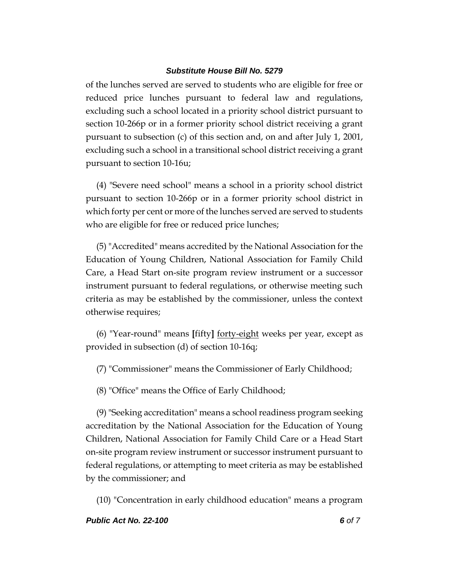of the lunches served are served to students who are eligible for free or reduced price lunches pursuant to federal law and regulations, excluding such a school located in a priority school district pursuant to section 10-266p or in a former priority school district receiving a grant pursuant to subsection (c) of this section and, on and after July 1, 2001, excluding such a school in a transitional school district receiving a grant pursuant to section 10-16u;

(4) "Severe need school" means a school in a priority school district pursuant to section 10-266p or in a former priority school district in which forty per cent or more of the lunches served are served to students who are eligible for free or reduced price lunches;

(5) "Accredited" means accredited by the National Association for the Education of Young Children, National Association for Family Child Care, a Head Start on-site program review instrument or a successor instrument pursuant to federal regulations, or otherwise meeting such criteria as may be established by the commissioner, unless the context otherwise requires;

(6) "Year-round" means **[**fifty**]** forty-eight weeks per year, except as provided in subsection (d) of section 10-16q;

(7) "Commissioner" means the Commissioner of Early Childhood;

(8) "Office" means the Office of Early Childhood;

(9) "Seeking accreditation" means a school readiness program seeking accreditation by the National Association for the Education of Young Children, National Association for Family Child Care or a Head Start on-site program review instrument or successor instrument pursuant to federal regulations, or attempting to meet criteria as may be established by the commissioner; and

(10) "Concentration in early childhood education" means a program